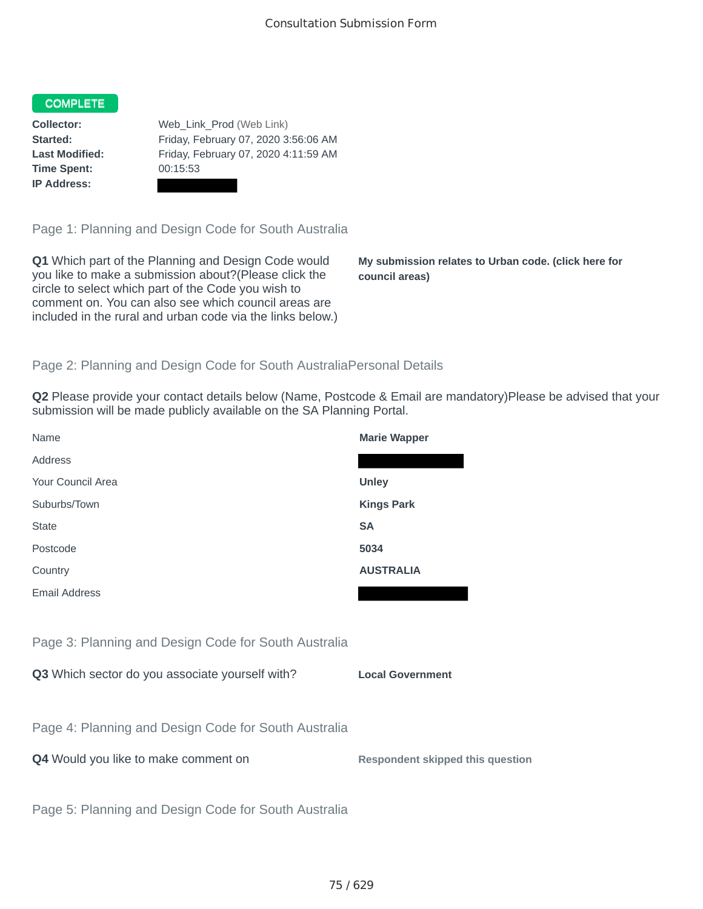## COMPLETE

**Time Spent:** 00:15:53 **IP Address:**

**Collector:** Web\_Link\_Prod (Web Link) **Started:** Friday, February 07, 2020 3:56:06 AM **Last Modified:** Friday, February 07, 2020 4:11:59 AM

Page 1: Planning and Design Code for South Australia

**Q1** Which part of the Planning and Design Code would you like to make a submission about?(Please click the circle to select which part of the Code you wish to comment on. You can also see which council areas are included in the rural and urban code via the links below.)

**My submission relates to Urban code. (click here for council areas)**

## Page 2: Planning and Design Code for South AustraliaPersonal Details

**Q2** Please provide your contact details below (Name, Postcode & Email are mandatory)Please be advised that your submission will be made publicly available on the SA Planning Portal.

| Name                                                 | <b>Marie Wapper</b>                     |
|------------------------------------------------------|-----------------------------------------|
| Address                                              |                                         |
| Your Council Area                                    | <b>Unley</b>                            |
| Suburbs/Town                                         | <b>Kings Park</b>                       |
| <b>State</b>                                         | <b>SA</b>                               |
| Postcode                                             | 5034                                    |
| Country                                              | <b>AUSTRALIA</b>                        |
| <b>Email Address</b>                                 |                                         |
|                                                      |                                         |
| Page 3: Planning and Design Code for South Australia |                                         |
| Q3 Which sector do you associate yourself with?      | <b>Local Government</b>                 |
|                                                      |                                         |
| Page 4: Planning and Design Code for South Australia |                                         |
| Q4 Would you like to make comment on                 | <b>Respondent skipped this question</b> |
|                                                      |                                         |
| Page 5: Planning and Design Code for South Australia |                                         |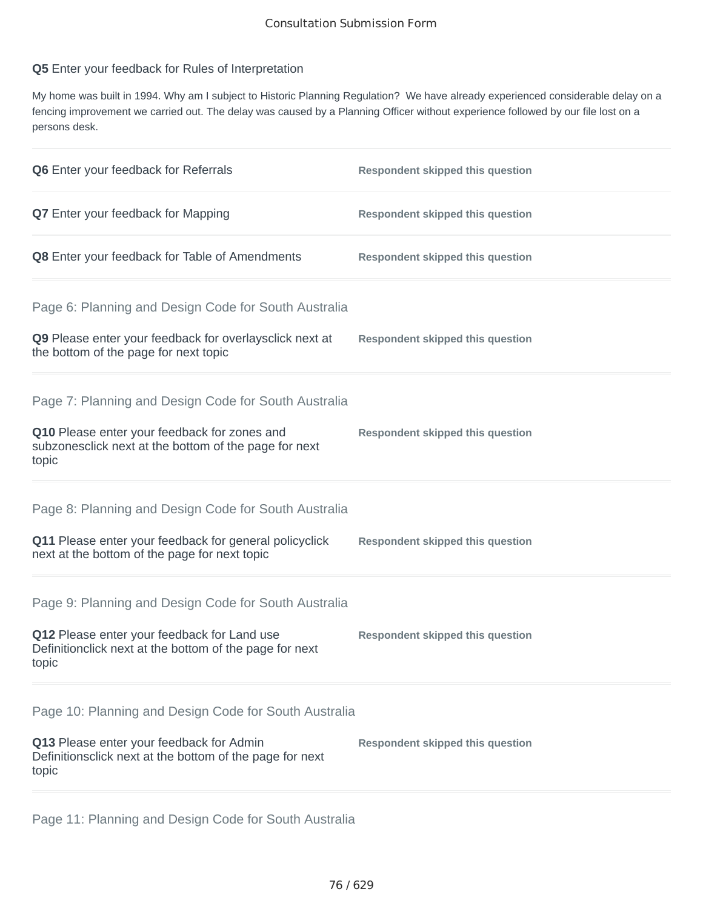## **Q5** Enter your feedback for Rules of Interpretation

My home was built in 1994. Why am I subject to Historic Planning Regulation? We have already experienced considerable delay on a fencing improvement we carried out. The delay was caused by a Planning Officer without experience followed by our file lost on a persons desk.

| Q6 Enter your feedback for Referrals                                                                                                                                    | <b>Respondent skipped this question</b> |
|-------------------------------------------------------------------------------------------------------------------------------------------------------------------------|-----------------------------------------|
| <b>Q7</b> Enter your feedback for Mapping                                                                                                                               | <b>Respondent skipped this question</b> |
| Q8 Enter your feedback for Table of Amendments                                                                                                                          | <b>Respondent skipped this question</b> |
| Page 6: Planning and Design Code for South Australia<br>Q9 Please enter your feedback for overlaysclick next at<br>the bottom of the page for next topic                | <b>Respondent skipped this question</b> |
| Page 7: Planning and Design Code for South Australia<br>Q10 Please enter your feedback for zones and<br>subzonesclick next at the bottom of the page for next<br>topic  | <b>Respondent skipped this question</b> |
| Page 8: Planning and Design Code for South Australia<br>Q11 Please enter your feedback for general policyclick<br>next at the bottom of the page for next topic         | <b>Respondent skipped this question</b> |
| Page 9: Planning and Design Code for South Australia<br>Q12 Please enter your feedback for Land use<br>Definitionclick next at the bottom of the page for next<br>topic | <b>Respondent skipped this question</b> |
| Page 10: Planning and Design Code for South Australia<br>Q13 Please enter your feedback for Admin<br>Definitionsclick next at the bottom of the page for next<br>topic  | <b>Respondent skipped this question</b> |

Page 11: Planning and Design Code for South Australia